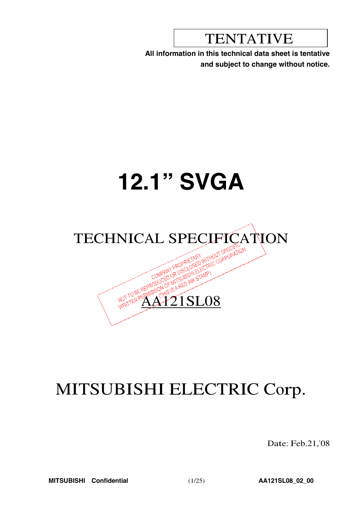# TENTATIVE

**All information in this technical data sheet is tentative and subject to change without notice.**

# **12.1" SVGA**



# MITSUBISHI ELECTRIC Corp.

Date: Feb.21,'08

**MITSUBISHI Confidential** (1/25) **AA121SL08\_02\_00**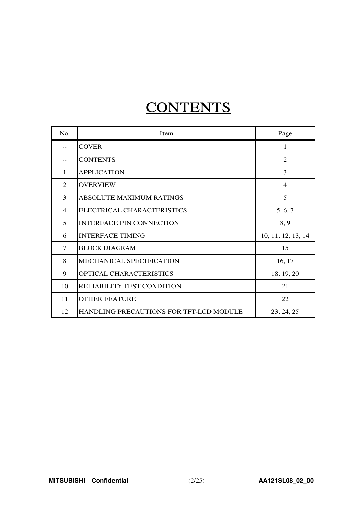# **CONTENTS**

| N <sub>0</sub> . | Item                                    | Page               |
|------------------|-----------------------------------------|--------------------|
|                  | <b>COVER</b>                            | 1                  |
|                  | <b>CONTENTS</b>                         | $\overline{2}$     |
| 1                | <b>APPLICATION</b>                      | 3                  |
| 2                | <b>OVERVIEW</b>                         | $\overline{4}$     |
| 3                | ABSOLUTE MAXIMUM RATINGS                | 5                  |
| 4                | ELECTRICAL CHARACTERISTICS              | 5, 6, 7            |
| 5                | <b>INTERFACE PIN CONNECTION</b>         | 8, 9               |
| 6                | <b>INTERFACE TIMING</b>                 | 10, 11, 12, 13, 14 |
| 7                | <b>BLOCK DIAGRAM</b>                    | 15                 |
| 8                | MECHANICAL SPECIFICATION                | 16, 17             |
| 9                | OPTICAL CHARACTERISTICS                 | 18, 19, 20         |
| 10               | <b>RELIABILITY TEST CONDITION</b>       | 21                 |
| 11               | <b>OTHER FEATURE</b>                    | 22                 |
| 12               | HANDLING PRECAUTIONS FOR TFT-LCD MODULE | 23, 24, 25         |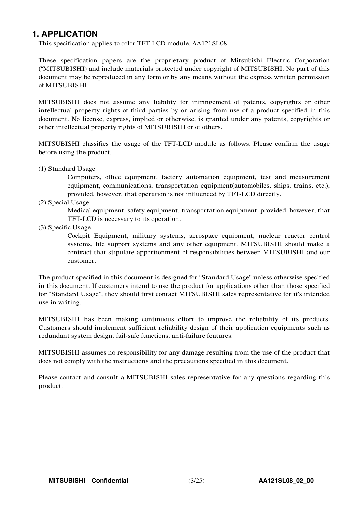# **1. APPLICATION**

This specification applies to color TFT-LCD module, AA121SL08.

These specification papers are the proprietary product of Mitsubishi Electric Corporation ("MITSUBISHI) and include materials protected under copyright of MITSUBISHI. No part of this document may be reproduced in any form or by any means without the express written permission of MITSUBISHI.

MITSUBISHI does not assume any liability for infringement of patents, copyrights or other intellectual property rights of third parties by or arising from use of a product specified in this document. No license, express, implied or otherwise, is granted under any patents, copyrights or other intellectual property rights of MITSUBISHI or of others.

MITSUBISHI classifies the usage of the TFT-LCD module as follows. Please confirm the usage before using the product.

(1) Standard Usage

Computers, office equipment, factory automation equipment, test and measurement equipment, communications, transportation equipment(automobiles, ships, trains, etc.), provided, however, that operation is not influenced by TFT-LCD directly.

(2) Special Usage

Medical equipment, safety equipment, transportation equipment, provided, however, that TFT-LCD is necessary to its operation.

(3) Specific Usage

Cockpit Equipment, military systems, aerospace equipment, nuclear reactor control systems, life support systems and any other equipment. MITSUBISHI should make a contract that stipulate apportionment of responsibilities between MITSUBISHI and our customer.

The product specified in this document is designed for "Standard Usage" unless otherwise specified in this document. If customers intend to use the product for applications other than those specified for "Standard Usage", they should first contact MITSUBISHI sales representative for it's intended use in writing.

MITSUBISHI has been making continuous effort to improve the reliability of its products. Customers should implement sufficient reliability design of their application equipments such as redundant system design, fail-safe functions, anti-failure features.

MITSUBISHI assumes no responsibility for any damage resulting from the use of the product that does not comply with the instructions and the precautions specified in this document.

Please contact and consult a MITSUBISHI sales representative for any questions regarding this product.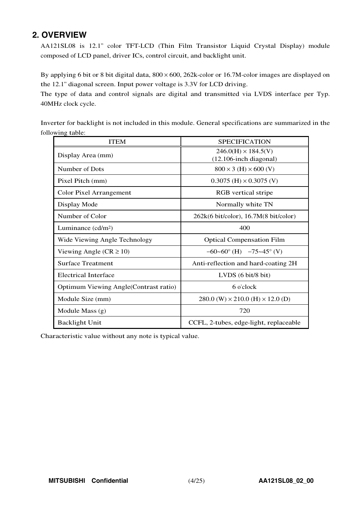# **2. OVERVIEW**

AA121SL08 is 12.1" color TFT-LCD (Thin Film Transistor Liquid Crystal Display) module composed of LCD panel, driver ICs, control circuit, and backlight unit.

By applying 6 bit or 8 bit digital data,  $800 \times 600$ ,  $262$ k-color or 16.7M-color images are displayed on the 12.1" diagonal screen. Input power voltage is 3.3V for LCD driving.

The type of data and control signals are digital and transmitted via LVDS interface per Typ. 40MHz clock cycle.

Inverter for backlight is not included in this module. General specifications are summarized in the following table:

| <b>ITEM</b>                            | <b>SPECIFICATION</b>                                        |
|----------------------------------------|-------------------------------------------------------------|
| Display Area (mm)                      | $246.0(H) \times 184.5(V)$<br>$(12.106$ -inch diagonal)     |
| Number of Dots                         | $800 \times 3$ (H) $\times 600$ (V)                         |
| Pixel Pitch (mm)                       | $0.3075$ (H) $\times$ 0.3075 (V)                            |
| Color Pixel Arrangement                | RGB vertical stripe                                         |
| Display Mode                           | Normally white TN                                           |
| Number of Color                        | $262k(6 \text{ bit/color})$ , 16.7M $(8 \text{ bit/color})$ |
| Luminance $(cd/m2)$                    | 400                                                         |
| Wide Viewing Angle Technology          | <b>Optical Compensation Film</b>                            |
| Viewing Angle ( $CR \ge 10$ )          | $-60-60^{\circ}$ (H) $-75-45^{\circ}$ (V)                   |
| <b>Surface Treatment</b>               | Anti-reflection and hard-coating 2H                         |
| <b>Electrical Interface</b>            | LVDS $(6 \text{ bit/8 bit})$                                |
| Optimum Viewing Angle (Contrast ratio) | 6 o'clock                                                   |
| Module Size (mm)                       | $280.0$ (W) $\times$ 210.0 (H) $\times$ 12.0 (D)            |
| Module Mass $(g)$                      | 720                                                         |
| <b>Backlight Unit</b>                  | CCFL, 2-tubes, edge-light, replaceable                      |

Characteristic value without any note is typical value.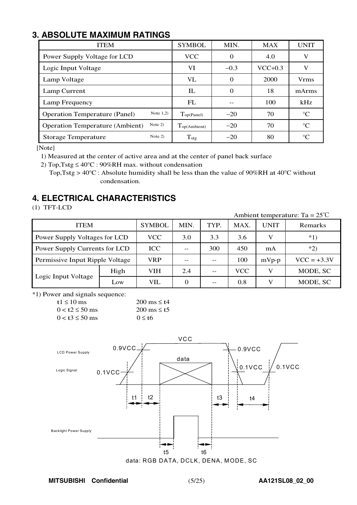# **3. ABSOLUTE MAXIMUM RATINGS**

| <b>ITEM</b>                                         | <b>SYMBOL</b>               | MIN.     | <b>MAX</b> | <b>UNIT</b> |
|-----------------------------------------------------|-----------------------------|----------|------------|-------------|
| Power Supply Voltage for LCD                        | <b>VCC</b>                  | $\Omega$ | 4.0        | V           |
| Logic Input Voltage                                 | VI                          | $-0.3$   | $VCC+0.3$  | V           |
| Lamp Voltage                                        | VL                          | $\Omega$ | 2000       | <b>Vrms</b> |
| Lamp Current                                        | IL                          | $\Omega$ | 18         | mArms       |
| Lamp Frequency                                      | FL                          |          | 100        | kHz         |
| Note $1,2)$<br><b>Operation Temperature (Panel)</b> | $\Gamma_{\text{op(Panel)}}$ | $-20$    | 70         | $^{\circ}C$ |
| Note $2)$<br><b>Operation Temperature (Ambient)</b> | Top(Ambient)                | $-20$    | 70         | $^{\circ}C$ |
| Note $2)$<br><b>Storage Temperature</b>             | $T_{\text{stg}}$            | $-20$    | 80         | $^{\circ}C$ |

[Note]

1) Measured at the center of active area and at the center of panel back surface

2) Top, Tstg  $\leq 40^{\circ}$ C : 90%RH max. without condensation

<sup>T</sup>op,Tstg <sup>&</sup>gt; <sup>40</sup>°<sup>C</sup> : Absolute humidity shall be less than the value of <sup>90</sup>%RH at <sup>40</sup>°<sup>C</sup> without condensation.

# **4. ELECTRICAL CHARACTERISTICS**

(1) TFT-LCD

Ambient temperature: Ta <sup>=</sup> 25℃

| <b>ITEM</b>                     |            | <b>SYMBOL</b> | MIN. | TYP. | MAX.    | <b>UNIT</b>   | Remarks  |
|---------------------------------|------------|---------------|------|------|---------|---------------|----------|
| Power Supply Voltages for LCD   | <b>VCC</b> | 3.0           | 3.3  | 3.6  |         | $*1)$         |          |
| Power Supply Currents for LCD   | <b>ICC</b> | --            | 300  | 450  | mA      | $*2)$         |          |
| Permissive Input Ripple Voltage | VRP        |               |      | 100  | $mVp-p$ | $VCC = +3.3V$ |          |
|                                 | High       | <b>VIH</b>    | 2.4  |      | VCC     | V             | MODE, SC |
| Logic Input Voltage             | Low        | VIL           | 0    | --   | 0.8     |               | MODE, SC |

\*1) Power and signals sequence:

| t1 $\leq$ 10 ms        | 200 ms $\leq$ t4          |
|------------------------|---------------------------|
| $0 < t2 \le 50$ ms     | $200 \text{ ms} \leq t.5$ |
| $0 < t$ 3 $\leq 50$ ms | $0 \leq t$                |



**MITSUBISHI Confidential** (5/25) **AA121SL08\_02\_00**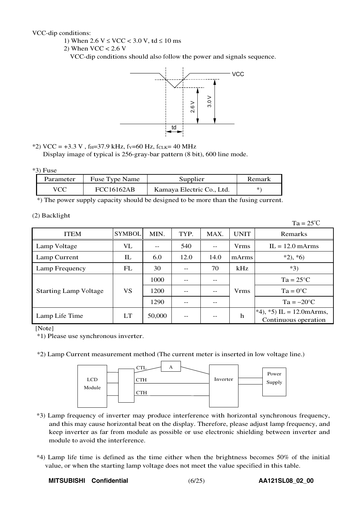VCC-dip conditions:

- 1) When  $2.6 \text{ V} \leq \text{VCC} < 3.0 \text{ V}$ , td  $\leq 10 \text{ ms}$
- 2) When  $VCC < 2.6$  V

VCC-dip conditions should also follow the power and signals sequence.



\*2) VCC = +3.3 V,  $f_H$ =37.9 kHz,  $f_V$ =60 Hz,  $f_{CLK}$ = 40 MHz Display image of typical is 256-gray-bar pattern (8 bit), 600 line mode.

#### $*3$ ) Fuse

| Parameter | Fuse Type Name    | Supplier                  | Remark |
|-----------|-------------------|---------------------------|--------|
| VCC       | <b>FCC16162AB</b> | Kamaya Electric Co., Ltd. |        |

\*) The power supply capacity should be designed to be more than the fusing current.

(2) Backlight

 $Ta = 25^{\circ}C$ 

| <b>ITEM</b>                  | <b>SYMBOL</b>                     | MIN.   | TYP. | MAX.  | <b>UNIT</b> | Remarks                                             |
|------------------------------|-----------------------------------|--------|------|-------|-------------|-----------------------------------------------------|
| Lamp Voltage                 | VL                                |        | 540  | $- -$ | <b>Vrms</b> | $IL = 12.0$ mArms                                   |
| Lamp Current                 | $\mathop{\mathrm{I\!L}}\nolimits$ | 6.0    | 12.0 | 14.0  | mArms       | $*2, *6)$                                           |
| Lamp Frequency               | FL                                | 30     | --   | 70    | kHz         | $*3)$                                               |
|                              |                                   | 1000   |      | --    |             | $Ta = 25^{\circ}C$                                  |
| <b>Starting Lamp Voltage</b> | VS                                | 1200   | --   | $- -$ | <b>Vrms</b> | $Ta = 0^{\circ}C$                                   |
|                              |                                   | 1290   |      |       |             | $Ta = -20$ °C                                       |
| Lamp Life Time               | LT                                | 50,000 | --   | --    | h           | $*4$ , *5) IL = 12.0 mArms,<br>Continuous operation |

[Note]

\*1) Please use synchronous inverter.

\*2) Lamp Current measurement method (The current meter is inserted in low voltage line.)



- \*3) Lamp frequency of inverter may produce interference with horizontal synchronous frequency, and this may cause horizontal beat on the display. Therefore, please adjust lamp frequency, and keep inverter as far from module as possible or use electronic shielding between inverter and module to avoid the interference.
- \*4) Lamp life time is defined as the time either when the brightness becomes 50% of the initial value, or when the starting lamp voltage does not meet the value specified in this table.

MITSUBISHI Confidential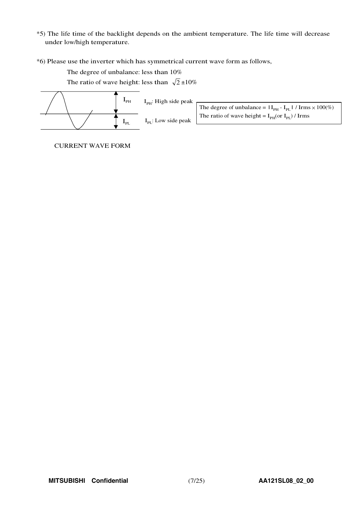- \*5) The life time of the backlight depends on the ambient temperature. The life time will decrease under low/high temperature.
- \*6) Please use the inverter which has symmetrical current wave form as follows,

The degree of unbalance: less than 10%

The ratio of wave height: less than  $\sqrt{2} \pm 10\%$ 



CURRENT WAVE FORM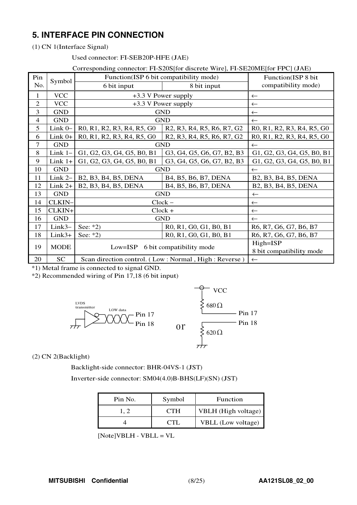# **5. INTERFACE PIN CONNECTION**

(1) CN 1(Interface Signal)

### Used connector: FI-SEB20P-HFE (JAE)

#### Corresponding connector: FI-S20S[for discrete Wire], FI-SE20ME[for FPC] (JAE)

| Pin                      |             |                                                                                                                      | Function(ISP 6 bit compatibility mode)                                                                               | Function(ISP 8 bit                                                                                                   |  |  |  |  |
|--------------------------|-------------|----------------------------------------------------------------------------------------------------------------------|----------------------------------------------------------------------------------------------------------------------|----------------------------------------------------------------------------------------------------------------------|--|--|--|--|
| No.                      | Symbol      | 6 bit input                                                                                                          | 8 bit input                                                                                                          | compatibility mode)                                                                                                  |  |  |  |  |
| 1                        | <b>VCC</b>  |                                                                                                                      | +3.3 V Power supply                                                                                                  | $\leftarrow$                                                                                                         |  |  |  |  |
| $\overline{2}$           | <b>VCC</b>  |                                                                                                                      | +3.3 V Power supply                                                                                                  | $\leftarrow$                                                                                                         |  |  |  |  |
| 3                        | <b>GND</b>  |                                                                                                                      | <b>GND</b>                                                                                                           | $\leftarrow$                                                                                                         |  |  |  |  |
| $\overline{\mathcal{L}}$ | <b>GND</b>  |                                                                                                                      | <b>GND</b>                                                                                                           | $\leftarrow$                                                                                                         |  |  |  |  |
| 5                        | Link $0-$   | R <sub>0</sub> , R <sub>1</sub> , R <sub>2</sub> , R <sub>3</sub> , R <sub>4</sub> , R <sub>5</sub> , G <sub>0</sub> | R <sub>2</sub> , R <sub>3</sub> , R <sub>4</sub> , R <sub>5</sub> , R <sub>6</sub> , R <sub>7</sub> , G <sub>2</sub> | R <sub>0</sub> , R <sub>1</sub> , R <sub>2</sub> , R <sub>3</sub> , R <sub>4</sub> , R <sub>5</sub> , G <sub>0</sub> |  |  |  |  |
| 6                        | $Link 0+$   | R0, R1, R2, R3, R4, R5, G0                                                                                           | R <sub>2</sub> , R <sub>3</sub> , R <sub>4</sub> , R <sub>5</sub> , R <sub>6</sub> , R <sub>7</sub> , G <sub>2</sub> | R0, R1, R2, R3, R4, R5, G0                                                                                           |  |  |  |  |
| 7                        | <b>GND</b>  |                                                                                                                      | <b>GND</b>                                                                                                           | $\leftarrow$                                                                                                         |  |  |  |  |
| 8                        | Link $1-$   | G1, G2, G3, G4, G5, B0, B1                                                                                           | G3, G4, G5, G6, G7, B2, B3                                                                                           | G1, G2, G3, G4, G5, B0, B1                                                                                           |  |  |  |  |
| 9                        | $Link 1+$   | G1, G2, G3, G4, G5, B0, B1                                                                                           | G3, G4, G5, G6, G7, B2, B3                                                                                           | G1, G2, G3, G4, G5, B0, B1                                                                                           |  |  |  |  |
| 10                       | <b>GND</b>  |                                                                                                                      | <b>GND</b>                                                                                                           | $\leftarrow$                                                                                                         |  |  |  |  |
| 11                       | Link $2-$   | B2, B3, B4, B5, DENA                                                                                                 | B4, B5, B6, B7, DENA                                                                                                 | B2, B3, B4, B5, DENA                                                                                                 |  |  |  |  |
| 12                       | $Link 2+$   | B2, B3, B4, B5, DENA                                                                                                 | B4, B5, B6, B7, DENA                                                                                                 | B2, B3, B4, B5, DENA                                                                                                 |  |  |  |  |
| 13                       | <b>GND</b>  |                                                                                                                      | <b>GND</b>                                                                                                           | $\leftarrow$                                                                                                         |  |  |  |  |
| 14                       | CLKIN-      |                                                                                                                      | $Clock -$                                                                                                            | $\leftarrow$                                                                                                         |  |  |  |  |
| 15                       | CLKIN+      |                                                                                                                      | $Clock +$                                                                                                            | $\leftarrow$                                                                                                         |  |  |  |  |
| 16                       | <b>GND</b>  |                                                                                                                      | <b>GND</b>                                                                                                           | $\leftarrow$                                                                                                         |  |  |  |  |
| 17                       | $Link3-$    | See: $*2)$                                                                                                           | R0, R1, G0, G1, B0, B1                                                                                               | R6, R7, G6, G7, B6, B7                                                                                               |  |  |  |  |
| 18                       | $Link3+$    | See: $*2)$                                                                                                           | R0, R1, G0, G1, B0, B1                                                                                               | R6, R7, G6, G7, B6, B7                                                                                               |  |  |  |  |
| 19                       | <b>MODE</b> | Low=ISP 6 bit compatibility mode                                                                                     | High=ISP<br>8 bit compatibility mode                                                                                 |                                                                                                                      |  |  |  |  |
| 20                       | <b>SC</b>   |                                                                                                                      | Scan direction control. (Low: Normal, High: Reverse)                                                                 | $\leftarrow$                                                                                                         |  |  |  |  |

\*1) Metal frame is connected to signal GND.

\*2) Recommended wiring of Pin 17,18 (6 bit input)



(2) CN 2(Backlight)

Backlight-side connector: BHR-04VS-1 (JST)

Inverter-side connector: SM04(4.0)B-BHS(LF)(SN) (JST)

| Pin No. | Symbol     | <b>Function</b>           |
|---------|------------|---------------------------|
| 1. 2    | <b>CTH</b> | VBLH (High voltage)       |
|         |            | <b>VBLL</b> (Low voltage) |

[Note]VBLH - VBLL <sup>=</sup> V<sup>L</sup>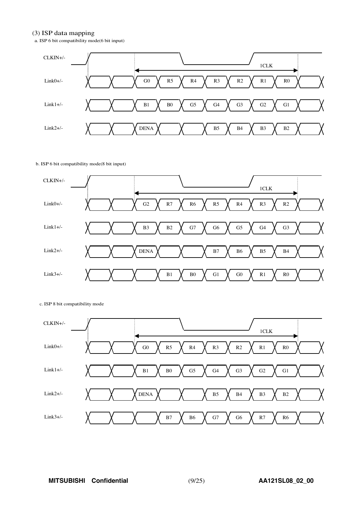#### (3) ISP data mapping

a. ISP 6 bit compatibility mode(6 bit input)



#### b. ISP 6 bit compatibility mode(8 bit input)



c. ISP 8 bit compatibility mode

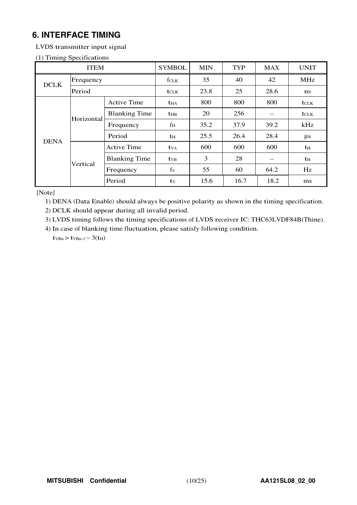# **6. INTERFACE TIMING**

LVDS transmitter input signal

|  |  | (1) Timing Specifications |
|--|--|---------------------------|
|--|--|---------------------------|

| <b>ITEM</b> |            |                      | <b>SYMBOL</b>          | <b>MIN</b> | <b>TYP</b> | <b>MAX</b> | <b>UNIT</b>  |
|-------------|------------|----------------------|------------------------|------------|------------|------------|--------------|
| <b>DCLK</b> | Frequency  |                      | fclk                   | 35         | 40         | 42         | <b>MHz</b>   |
|             | Period     |                      | <b>t</b> CLK           | 23.8       | 25         | 28.6       | ns           |
|             |            | <b>Active Time</b>   | <b>t</b> <sub>HA</sub> | 800        | 800        | 800        | <b>t</b> CLK |
|             | Horizontal | <b>Blanking Time</b> | $t_{HB}$               | 20         | 256        | --         | tclk         |
|             |            | Frequency            | fн                     | 35.2       | 37.9       | 39.2       | kHz          |
| <b>DENA</b> |            | Period               | th                     | 25.5       | 26.4       | 28.4       | $\mu s$      |
|             |            | <b>Active Time</b>   | t <sub>VA</sub>        | 600        | 600        | 600        | th           |
|             | Vertical   | <b>Blanking Time</b> | $t_{VB}$               | 3          | 28         | --         | th           |
|             |            | Frequency            | $f_V$                  | 55         | 60         | 64.2       | Hz           |
|             |            | Period               | $t_{V}$                | 15.6       | 16.7       | 18.2       | ms           |

[Note]

1) DENA (Data Enable) should always be positive polarity as shown in the timing specification.

2) DCLK should appear during all invalid period.

3) LVDS timing follows the timing specifications of LVDS receiver IC: THC63LVDF84B(Thine).

4) In case of blanking time fluctuation, please satisfy following condition.

 $t$ <sub>VBn</sub> >  $t$ <sub>VBn-1</sub> - 3( $t$ <sub>H</sub>)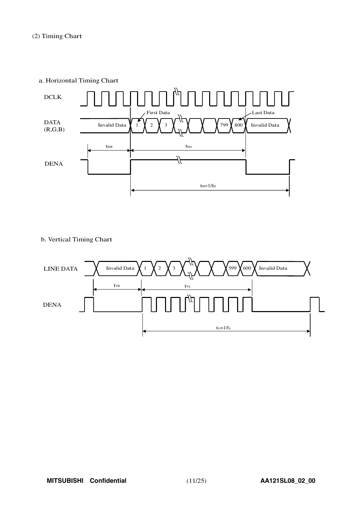a. Horizontal Timing Chart



b. Vertical Timing Chart

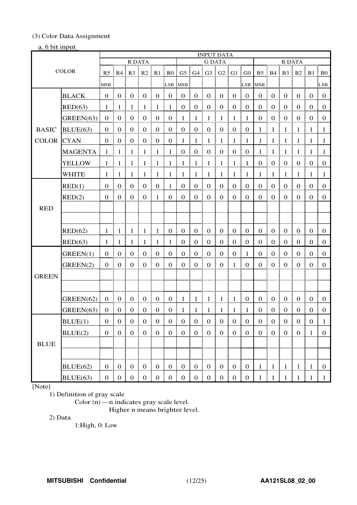# (3) Color Data Assignment

### a. 6 bit input

|                   |                |                |                  |                          |                      |                                     |                     |                  | <b>INPUT DATA</b> |                        |                  |                                        |                 |                  |                     |                                     |                     |                                                        |                  |
|-------------------|----------------|----------------|------------------|--------------------------|----------------------|-------------------------------------|---------------------|------------------|-------------------|------------------------|------------------|----------------------------------------|-----------------|------------------|---------------------|-------------------------------------|---------------------|--------------------------------------------------------|------------------|
|                   |                |                |                  | R DATA                   |                      |                                     |                     |                  |                   | <b>G DATA</b>          |                  |                                        |                 |                  |                     | <b>B DATA</b>                       |                     |                                                        |                  |
| <b>COLOR</b>      |                |                |                  |                          |                      | R5   R4   R3   R2   R1   R0         |                     |                  |                   |                        |                  | $G5$ $G4$ $G3$ $G2$ $G1$ $G0$          |                 |                  |                     |                                     |                     | $B5 \nvert B4 \nvert B3 \nvert B2 \nvert B1 \nvert B0$ |                  |
|                   |                |                |                  |                          |                      |                                     | L <sub>SB</sub>     | MSB              |                   |                        |                  |                                        |                 | LSB MSB          |                     |                                     |                     |                                                        | LSB <sup>1</sup> |
|                   | <b>BLACK</b>   | $0 \mid 0$     |                  | 0                        | $\boldsymbol{0}$     | $\boldsymbol{0}$                    | $\overline{0}$      | $\overline{0}$   | $\overline{0}$    | $\boldsymbol{0}$       | $\boldsymbol{0}$ | $\overline{0}$                         | $\overline{0}$  | $\boldsymbol{0}$ | $\boldsymbol{0}$    | $\theta$                            | $\overline{0}$      | $\overline{0}$                                         | $\pm 0$          |
|                   | RED(63)        | $\mathbf{1}$   | -1               | - 1                      | 1                    | -1                                  | $\overline{1}$      | $\overline{0}$   | $\boldsymbol{0}$  | L<br>$\boldsymbol{0}$  | $\boldsymbol{0}$ | $\boldsymbol{0}$                       | $\overline{0}$  | $\mathbf{0}$     | $\boldsymbol{0}$    | $\mathbf{0}$                        | $\overline{0}$      | $\overline{0}$                                         | $\pm 0$          |
|                   | GREEN(63)      | $\Omega$       | $\boldsymbol{0}$ | $\boldsymbol{0}$         | $\boldsymbol{0}$     | $\boldsymbol{0}$                    | $\boldsymbol{0}$    | $\mathbf{1}$     | $\mathbf{1}$      | $\frac{1}{2}$          | $\mathbf{1}$     | ÷<br>$\overline{1}$                    | $\overline{1}$  | $\overline{0}$   | $\boldsymbol{0}$    | $\boldsymbol{0}$                    | $\boldsymbol{0}$    | $0 \nvert 0$                                           |                  |
| <b>BASIC</b>      | BLUE(63)       | $\Omega$       | $\boldsymbol{0}$ | $\boldsymbol{0}$         | $\boldsymbol{0}$     | $\boldsymbol{0}$<br>÷               | $\overline{0}$      | $0$ :            | $\boldsymbol{0}$  | L<br>$\overline{0}$    | $\boldsymbol{0}$ | $\overline{0}$                         | $\frac{1}{2}$ 0 | $\mathbf{1}$     | $\mathbf{1}$        | $\mathbf{1}$                        | $\overline{1}$      | -1                                                     | $\pm 1$          |
| <b>COLOR CYAN</b> |                | $\Omega$       | $\boldsymbol{0}$ | $\boldsymbol{0}$         | $\boldsymbol{0}$     | $\boldsymbol{0}$                    | $\overline{0}$<br>÷ | 1                | $\mathbf{1}$      | $\frac{1}{2}$          | $\mathbf{1}$     | $\overline{1}$                         | $\mathbf{1}$    | $\mathbf{1}$     | $\overline{1}$      | -1                                  | $\overline{1}$      | -1                                                     | - 1              |
|                   | <b>MAGENTA</b> | $\mathbf{1}$   | -1               | $\overline{1}$           | $\overline{1}$       | $\mathbf{1}$                        | $\pm$ 1             | $\overline{0}$   | $\boldsymbol{0}$  | $\frac{1}{2}$ 0        | $\boldsymbol{0}$ | $\overline{0}$                         | $\overline{0}$  | $\mathbf{1}$     | $\mathbf{1}$        | $\overline{1}$                      | ÷<br>$\overline{1}$ | -1                                                     | $\pm 1$          |
|                   | <b>YELLOW</b>  |                |                  | $1 \mid 1 \mid 1 \mid 1$ |                      | $1 \mid 1$                          |                     | $1 \;$           | $1 \nmid 1$       |                        | ŧ                | $1 \mid 1$                             | $\frac{1}{2}$   | $\mathbf{0}$     | $\overline{0}$<br>÷ | $\overline{0}$<br>÷                 | $\mathbf{0}$        | $0 \nvert 0$                                           |                  |
|                   | <b>WHITE</b>   |                | $1 \pm 1 \pm$    | -1                       | $\pm$ 1              | $\overline{1}$                      | $\pm$ 1             |                  | $1 \mid 1 \mid 1$ |                        | $1 \cdot 1$      |                                        | $\pm 1$         |                  | $1 \pm 1 \pm$       | $\mathbf{1}$                        | $\pm 1 \pm 1$       |                                                        | $\pm$ 1          |
|                   | RED(1)         | $\Omega$       | $\mathbf{0}$     | $\boldsymbol{0}$         | $\boldsymbol{0}$     | $\boldsymbol{0}$                    | -1                  | $\boldsymbol{0}$ | $\boldsymbol{0}$  | $\boldsymbol{0}$       | $\boldsymbol{0}$ | $\mathbf{0}$                           | $\overline{0}$  | $\overline{0}$   | $\mathbf{0}$        | $\boldsymbol{0}$                    | $\boldsymbol{0}$    | $\boldsymbol{0}$                                       | $\mathbf{0}$     |
|                   | RED(2)         | $\Omega$       | $\mathbf{0}$     | $\mathbf{0}$             | $\mathbf{0}$         | $\mathbf{1}$                        | $\overline{0}$      | $\mathbf{0}$     | $\mathbf{0}$      | $\boldsymbol{0}$<br>I. | $\mathbf{0}$     | $\overline{0}$                         | $\overline{0}$  | $\theta$         | $\mathbf{0}$        | $\mathbf{0}$                        | $\overline{0}$      | $\overline{0}$                                         | $\bf{0}$         |
| <b>RED</b>        |                |                |                  |                          |                      |                                     |                     |                  |                   |                        |                  |                                        |                 |                  |                     |                                     |                     |                                                        |                  |
|                   |                |                |                  |                          |                      |                                     |                     |                  |                   |                        |                  |                                        |                 |                  |                     |                                     |                     |                                                        |                  |
|                   | RED(62)        | $\mathbf{1}$   | -1               | -1                       | -1                   | -1                                  | $\bf{0}$<br>÷       | $\overline{0}$   | $\boldsymbol{0}$  | $\boldsymbol{0}$<br>Ŧ. | $\overline{0}$   | $\overline{0}$                         | $\overline{0}$  | $\overline{0}$   | $\boldsymbol{0}$    | $\overline{0}$                      | $\bf{0}$            | $\overline{0}$                                         | $\bf{0}$         |
|                   | RED(63)        | 1              | $\mathbf{1}$     | -1                       | -1                   | -1                                  | -1                  | $\overline{0}$   | $\overline{0}$    | $\boldsymbol{0}$<br>ŧ. | $\overline{0}$   | $\overline{0}$                         | $\overline{0}$  | $\overline{0}$   | $\boldsymbol{0}$    | $\overline{0}$                      | $\overline{0}$      | $\Omega$                                               | $\pm 0$          |
|                   | GREEN(1)       | $\theta$       | $\mathbf{0}$     | $\mathbf{0}$             | $\mathbf{0}$         | $\mathbf{0}$                        | $\mathbf{0}$        | $\mathbf{0}$     | $\mathbf{0}$      | $\boldsymbol{0}$<br>ŧ  | $\boldsymbol{0}$ | $\overline{0}$                         | $\mathbf{1}$    | $\mathbf{0}$     | $\mathbf{0}$        | $\mathbf{0}$                        | $\overline{0}$      | $\Omega$                                               | $\Omega$         |
|                   | GREEN(2)       | $\overline{0}$ | $\boldsymbol{0}$ | $\boldsymbol{0}$         | $\boldsymbol{0}$     | $\mathbf{0}$                        | $\overline{0}$      | $\overline{0}$   | $\boldsymbol{0}$  | $\mathbf{0}$           | $\mathbf{0}$     | $\mathbf{1}$                           | $\overline{0}$  | $\overline{0}$   | $\boldsymbol{0}$    | $\mathbf{0}$<br>÷                   | $\overline{0}$      | $\overline{0}$                                         | $\overline{0}$   |
| <b>GREEN</b>      |                |                |                  |                          |                      |                                     |                     |                  |                   |                        |                  |                                        |                 |                  |                     |                                     |                     |                                                        |                  |
|                   |                |                |                  |                          |                      |                                     |                     |                  |                   |                        |                  |                                        |                 |                  |                     |                                     |                     |                                                        |                  |
|                   | GREEN(62)      | 0 <sup>1</sup> | $\overline{0}$   | $\overline{0}$           | $\overline{0}$<br>ŧ. | $\begin{matrix} 1 & 0 \end{matrix}$ | $\pm 0$             |                  | $1 \mid 1 \mid 1$ |                        | $\lceil$         | 1 0                                    |                 | $\overline{0}$   | $\boldsymbol{0}$    | $\begin{matrix} 1 & 0 \end{matrix}$ | $\overline{0}$      | $0 \neq 0$                                             |                  |
|                   | GREEN(63)      | $\theta$       | $\boldsymbol{0}$ | $\boldsymbol{0}$         | $\boldsymbol{0}$     | $\boldsymbol{0}$                    | $\boldsymbol{0}$    | $1$ i            | $\mathbf{1}$      | $\frac{1}{2}$          | $\mathbf{1}$     | $\frac{1}{2}$                          | -1              | $\overline{0}$   | $\boldsymbol{0}$    | $\boldsymbol{0}$<br>÷.              | $\boldsymbol{0}$    | $\boldsymbol{0}$                                       | $\theta$         |
|                   | BLUE(1)        | $\overline{0}$ | $\vert 0 \vert$  | $\vert 0 \vert$          |                      | $0 \mid 0 \mid 0$                   |                     |                  | $0 \mid 0 \mid 0$ | ÷                      |                  | $0 \mid 0 \mid 0$                      |                 | 0                | $\vert 0 \vert$     | $\vert 0 \vert$                     | $\vert 0 \vert$     | $0 \mid 1$                                             |                  |
|                   | BLUE(2)        |                |                  |                          |                      | 0   0   0   0   0   0               |                     |                  |                   |                        |                  | 0   0   0   0   0   0                  |                 |                  |                     |                                     |                     | $0 \mid 0 \mid 0 \mid 0 \mid 1 \mid 0$                 |                  |
| <b>BLUE</b>       |                |                |                  |                          |                      |                                     |                     |                  |                   |                        |                  |                                        |                 |                  |                     |                                     |                     |                                                        |                  |
|                   |                |                |                  |                          |                      |                                     |                     |                  |                   |                        |                  |                                        |                 |                  |                     |                                     |                     |                                                        |                  |
|                   | BLUE(62)       |                |                  |                          |                      | 0   0   0   0   0   0               |                     |                  |                   |                        |                  | $0 \mid 0 \mid 0 \mid 0 \mid 0 \mid 0$ |                 |                  |                     |                                     |                     | $1 \mid 1 \mid 1 \mid 1 \mid 1 \mid 0$                 |                  |
|                   | BLUE(63)       |                |                  |                          |                      | 0   0   0   0   0   0               |                     |                  |                   |                        |                  | 0 0 0 0 0 0 0 0                        |                 |                  |                     |                                     |                     | $1 \mid 1 \mid 1 \mid 1 \mid 1 \mid 1$                 |                  |

# [Note]

1) Definition of gray scale

Color (n) ---n indicates gray scale level.

Higher n means brighter level.

2) Data

1:High, 0: Low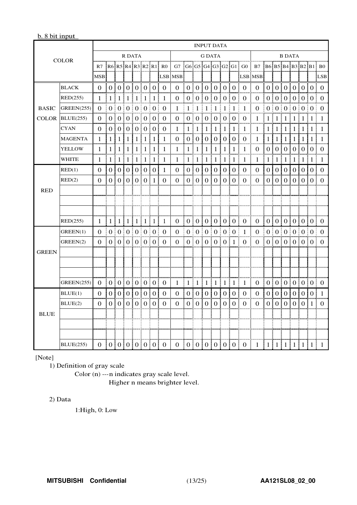### b. 8 bit input

| <b>COLOR</b> |                   | <b>INPUT DATA</b> |                |    |                               |                |                  |                  |                      |                                       |                  |                |                   |                  |                       |                |                   |                         |                |                  |                  |                   |                       |                  |                |
|--------------|-------------------|-------------------|----------------|----|-------------------------------|----------------|------------------|------------------|----------------------|---------------------------------------|------------------|----------------|-------------------|------------------|-----------------------|----------------|-------------------|-------------------------|----------------|------------------|------------------|-------------------|-----------------------|------------------|----------------|
|              |                   | <b>R DATA</b>     |                |    |                               |                |                  | <b>G DATA</b>    |                      |                                       |                  |                |                   |                  | <b>B DATA</b>         |                |                   |                         |                |                  |                  |                   |                       |                  |                |
|              |                   | R7                |                |    |                               |                |                  |                  | R6 R5 R4 R3 R2 R1 R0 | G7   G6   G5   G4   G3   G2   G1   G0 |                  |                |                   |                  |                       |                |                   | B7 B6 B5 B4 B3 B2 B1 B0 |                |                  |                  |                   |                       |                  |                |
|              |                   | <b>MSB</b>        |                |    |                               |                |                  |                  | LSB                  | <b>MSB</b>                            |                  |                |                   |                  |                       |                |                   | <b>LSB MSB</b>          |                |                  |                  |                   |                       |                  | LSB            |
|              | <b>BLACK</b>      | $\Omega$          |                |    | 0 0 0 0 0 0 0                 |                |                  |                  |                      | $\Omega$                              |                  | 0101           |                   | 0101             |                       | 0:0            | $\Omega$          | $\Omega$                |                |                  |                  |                   | 0 0 0 0 0 0 0         |                  |                |
|              | RED(255)          | 1                 |                |    | $1 \mid 1 \mid 1 \mid 1 \mid$ |                | -1               | $\pm 1$          | -1<br>÷              | 0                                     |                  | 0:0:           | 0 <sup>1</sup>    | 0 <sup>1</sup>   | $\theta$              | $\pm 0$        | $\theta$          | $\theta$                | $\overline{0}$ | ÷                |                  | 0 0 0             |                       | 0:0              | $\Omega$       |
| <b>BASIC</b> | GREEN(255)        | $\Omega$          |                |    | 0   0   0   0   0   0   0     |                |                  |                  |                      | 1                                     | $1 \pm 1$        |                | Ŧ<br>-1           | $\pm 1$          | Ŧ<br>-1               | $\pm 1$        | -1                | $\Omega$                | 0 <sup>1</sup> |                  |                  |                   | 0:0:0:0:0             |                  | ÷<br>$\Omega$  |
| <b>COLOR</b> | BLUE(255)         | $\Omega$          |                |    | 0   0   0   0                 |                | 0:               | 0 <sup>1</sup>   | $\Omega$             | 0                                     |                  |                | 0 0 0 0           |                  | $\boldsymbol{0}$<br>ŧ | $\Omega$       | $\mathbf{0}$      | 1                       | $\mathbf{1}$   |                  | $1 \nmid 1$      | $\lceil 1 \rceil$ | 1                     | $\mathbf{1}$     | $\mathbf{1}$   |
|              | <b>CYAN</b>       | 0                 |                |    | 0:0:0:0:0:0:0:0               |                |                  |                  |                      | 1                                     |                  | 1   1          | 1 <sup>1</sup>    | $\mathbf{1}$     | -1                    | $\pm 1$<br>÷   | -1                | $\mathbf{1}$            | $\mathbf{1}$   |                  |                  |                   | 1   1   1   1   1     |                  | $\overline{1}$ |
|              | <b>MAGENTA</b>    | 1                 | 1              | 1  | 1                             | 1              | 1                | 1                | 1                    | $\bf{0}$                              | 0                | $\theta$       | $\theta$          | $\overline{0}$   | $\theta$              | 0              | $\mathbf 0$       | 1                       | 1              | 1                | 1                | -1                | 1                     | 1                | 1              |
|              | <b>YELLOW</b>     | 1                 | 1              | 11 | $\mathbf{1}$<br>÷             | 1              | 1<br>÷           | 1                | 1                    | 1                                     | 1                | 1              | 1                 | 1                | 1                     | 1              | 1                 | 0                       | $\theta$       |                  | 0101             | 0 <sup>1</sup>    | 0 <sup>1</sup>        | $\overline{0}$   | $\Omega$<br>I. |
|              | WHITE             | 1                 | 1<br>÷         |    | 1   1   1                     |                | $\mathbf{1}$     | 1<br>÷           | ŧ<br>1               | 1                                     | 1:1              |                | $\lceil 1 \rceil$ | 1 <sup>1</sup>   | $\mathbf{1}$          | $\pm 1$<br>ł   | $\mathbf{1}$      | 1                       | $\mathbf{1}$   | 1                |                  |                   | 1 1 1 1               |                  | $\overline{1}$ |
|              | RED(1)            | $\Omega$          | $\Omega$       |    | 0101                          | $\theta$ i     | $\Omega$         | $\overline{0}$ i | $\mathbf{1}$         | $\Omega$                              | $\overline{0}$ : | 0 <sup>1</sup> | $\overline{0}$ i  | $\overline{0}$ i | $\Omega$              | $\Omega$       | $\Omega$          | $\Omega$                | $\Omega$       | $\overline{0}$ : | $\overline{0}$ ! | $\overline{0}$ :  | 0 <sup>1</sup>        | $\overline{0}$ : | $\Omega$       |
|              | RED(2)            | $\Omega$          | 0 <sup>1</sup> |    | 0101                          | 0 <sup>1</sup> | $\theta$         | -1               | $\Omega$             | 0                                     |                  | 0101           | 0 <sup>1</sup>    | 0 <sup>1</sup>   | $\Omega$              | $\Omega$       | 0                 | $\theta$                | $\overline{0}$ |                  |                  | 010101            | 0:                    | $\theta$         | $\theta$       |
| <b>RED</b>   |                   |                   |                |    |                               |                |                  |                  |                      |                                       |                  |                |                   |                  |                       |                |                   |                         |                |                  |                  |                   |                       |                  |                |
|              |                   |                   |                |    |                               |                |                  |                  |                      |                                       |                  |                |                   |                  |                       |                |                   |                         |                |                  |                  |                   |                       |                  |                |
|              |                   |                   |                |    |                               |                |                  |                  |                      |                                       |                  |                |                   |                  |                       |                |                   |                         |                |                  |                  |                   |                       |                  |                |
|              | RED(255)          | 1                 |                |    | 1   1   1   1   1   1   1     |                |                  |                  | 1                    | $\Omega$                              | ÷                |                |                   |                  | 0 0 0 0 0 0           |                | $\Omega$          | $\Omega$                | 10101010101010 |                  |                  |                   |                       |                  |                |
|              | GREEN(1)          | $\Omega$          |                |    | 0   0   0   0   0   0   0     |                |                  |                  |                      | $\Omega$                              |                  |                |                   |                  | 0   0   0   0   0   0 |                | ŧ<br>$\mathbf{1}$ | $\Omega$                |                |                  |                  |                   | 0:0:0:0:0:0:0         |                  |                |
|              | GREEN(2)          | $\theta$          |                |    | 0   0   0   0   0   0         |                |                  |                  | ŧ.<br>0              | $\theta$                              |                  |                |                   |                  | 0   0   0   0   0   1 |                | $\theta$          | $\theta$                |                |                  |                  |                   | 0   0   0   0   0   0 |                  | $\theta$       |
| <b>GREEN</b> |                   |                   |                |    |                               |                |                  |                  |                      |                                       |                  |                |                   |                  |                       |                |                   |                         |                |                  |                  |                   |                       |                  |                |
|              |                   |                   |                |    |                               |                |                  |                  |                      |                                       |                  |                |                   |                  |                       |                |                   |                         |                |                  |                  |                   |                       |                  |                |
|              |                   |                   |                |    |                               |                |                  |                  |                      |                                       |                  |                |                   |                  |                       |                |                   |                         |                |                  |                  |                   |                       |                  |                |
|              | <b>GREEN(255)</b> | $\theta$          | 0 0 0 0 0 0 0  |    |                               |                |                  |                  |                      | 1                                     | 1 1 1            |                |                   |                  | $1 \nmid 1$           | $\pm 1$<br>ŧ   | 1                 | $\theta$                |                |                  |                  |                   | 0   0   0   0   0   0 |                  | $\bf{0}$       |
|              | BLUE(1)           | $\theta$          | 0 <sup>1</sup> |    | 0101                          | 0 <sup>1</sup> | $\overline{0}$ i | $\overline{0}$ : | $\theta$             | $\theta$                              |                  | 0101           | 0:                | 0 <sup>1</sup>   | $\theta$              | $\overline{0}$ | $\theta$          | $\theta$                | $\overline{0}$ | $\overline{0}$ : |                  | 0101              | 0 <sup>1</sup>        | $\overline{0}$   | 1              |
|              | BLUE(2)           | $\Omega$          | $\Omega$       |    | 0101                          | $\theta$       | $\theta$<br>÷    | $\theta$         | $\Omega$             | $\theta$                              | 0<br>÷           | $\theta$       | $\theta$          | I<br>$\theta$    | $\theta$              | $\theta$       | $\theta$          | $\theta$                | $\theta$       |                  | 0   0            | 0 <sup>1</sup>    | $\theta$              | 1                | 0              |
| <b>BLUE</b>  |                   |                   |                |    |                               |                |                  |                  |                      |                                       |                  |                |                   |                  |                       |                |                   |                         |                |                  |                  |                   |                       |                  |                |
|              |                   |                   |                |    |                               |                |                  |                  |                      |                                       |                  |                |                   |                  |                       |                |                   |                         |                |                  |                  |                   |                       |                  |                |
|              |                   |                   |                |    |                               |                |                  |                  |                      |                                       |                  |                |                   |                  |                       |                |                   |                         |                |                  |                  |                   |                       |                  |                |
|              | <b>BLUE</b> (255) | 0  0 0 0 0 0 0    |                |    |                               |                |                  |                  | -0                   | $\overline{0}$                        |                  |                |                   |                  | 0 0 0 0 0 0           |                | $\overline{0}$    | $1 \mid 1$              |                |                  |                  |                   | 1 1 1 1               | 1                | 1              |

[Note]

1) Definition of gray scale

Color (n) ---n indicates gray scale level.

Higher n means brighter level.

#### 2) Data

1:High, 0: Low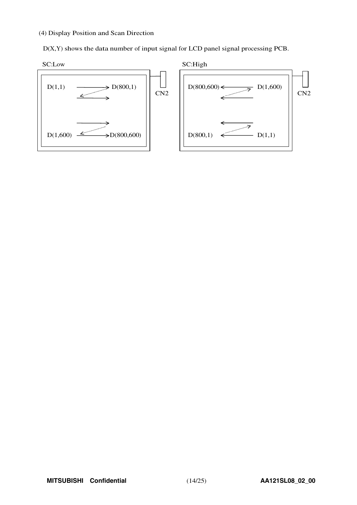# (4) Display Position and Scan Direction

D(X,Y) shows the data number of input signal for LCD panel signal processing PCB.

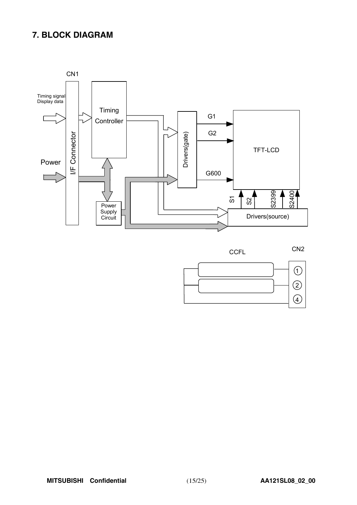# **7. BLOCK DIAGRAM**





CN2



**CCFL**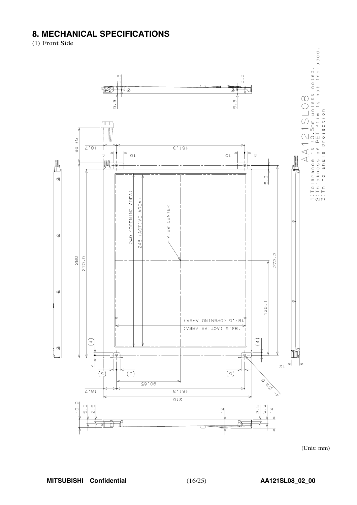# **8. MECHANICAL SPECIFICATIONS**

(1) Front Side



 $(Unit: mm)$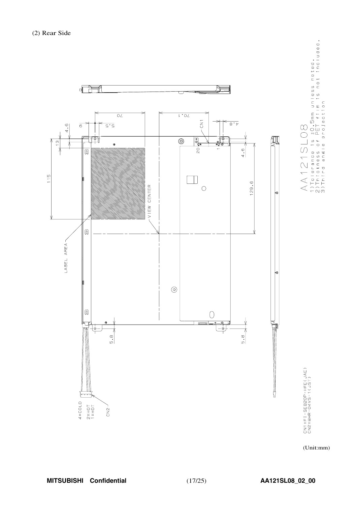

1)Tolerance is ±0.5mm unless noted.<br>2)Thickness of PET film is not included.<br>3)Third angle projection

(Unit:mm)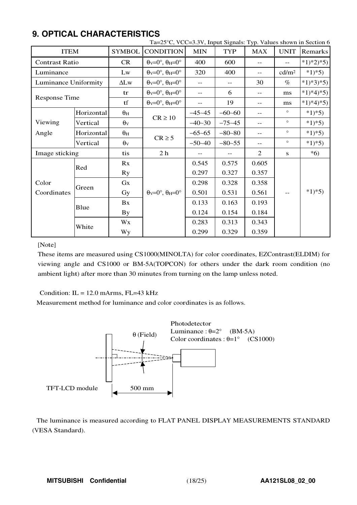|                       |            |                       | Ta=25°C, VCC=3.3V, Input Signals: Typ. Values shown in Section        |            |                |                         |                   |           |  |
|-----------------------|------------|-----------------------|-----------------------------------------------------------------------|------------|----------------|-------------------------|-------------------|-----------|--|
| <b>ITEM</b>           |            | <b>SYMBOL</b>         | <b>CONDITION</b>                                                      | <b>MIN</b> | <b>TYP</b>     | <b>MAX</b>              | <b>UNIT</b>       | Remarks   |  |
| <b>Contrast Ratio</b> |            | CR                    | $\theta$ <sub>V</sub> =0°, $\theta$ <sub>H</sub> =0°                  | 400        | 600            |                         | $-$               | $*1)*2*5$ |  |
| Luminance             |            | Lw                    | $\theta$ <sub>V</sub> =0°, $\theta$ <sub>H</sub> =0°                  | 320        | 400            | $\qquad \qquad -$       | cd/m <sup>2</sup> | $*1)*5)$  |  |
| Luminance Uniformity  |            | $\Delta L$ w          | $\theta$ <sub>V</sub> =0°, $\theta$ <sub>H</sub> =0°                  | $-$        | $- -$          | 30                      | $\%$              | $*1)*3*5$ |  |
|                       |            | tr                    | $\theta$ <sub>V</sub> =0°, $\theta$ <sub>H</sub> =0°                  | $-$        | 6              | ms<br>$\qquad \qquad -$ |                   | $*1)*4*5$ |  |
| Response Time         |            | tf                    | $\theta$ <sub>V</sub> = $0^\circ$ , $\theta$ <sub>H</sub> = $0^\circ$ | $-$        | 19             | ms<br>$\qquad \qquad -$ |                   | $*1)*4*5$ |  |
|                       | Horizontal | $\theta_H$            |                                                                       | $-45 - 45$ | $-60-60$       | $\qquad \qquad -$       | $\circ$           | $*1)*5)$  |  |
| Viewing               | Vertical   | $\theta$ <sub>V</sub> | $CR \ge 10$                                                           | $-40-30$   | $-75 - 45$     | $-$                     | $\circ$           | $*1)*5)$  |  |
| Angle                 | Horizontal | $\theta_{\rm H}$      |                                                                       | $-65 - 65$ | $-80 - 80$     | $-$                     | $\circ$           | $*1)*5)$  |  |
|                       | Vertical   | $\theta$ v            | $CR \geq 5$                                                           | $-50-40$   | $-80-55$       | $-$                     | $\circ$           | $*1)*5)$  |  |
| Image sticking        |            | tis                   | 2 <sub>h</sub>                                                        |            |                | $\overline{2}$          | S                 | $*6)$     |  |
|                       | Red        | Rx                    |                                                                       | 0.545      | 0.575          | 0.605                   |                   |           |  |
|                       |            | <b>Ry</b>             |                                                                       | 0.297      | 0.327          | 0.357                   |                   |           |  |
| Color                 | Green      | $G_{X}$               |                                                                       | 0.298      | 0.328          | 0.358                   |                   |           |  |
| Coordinates           |            | Gy                    | $\theta$ v=0°, $\theta$ H=0°                                          | 0.501      | 0.531          | 0.561                   | $-\,-$            | $*1)*5)$  |  |
|                       | Blue       | Bx                    |                                                                       | 0.133      | 0.163          | 0.193                   |                   |           |  |
|                       |            | <b>By</b>             |                                                                       | 0.124      | 0.154          | 0.184                   |                   |           |  |
|                       | White      | Wx                    |                                                                       | 0.283      | 0.313          | 0.343                   |                   |           |  |
|                       |            | <b>Wy</b>             |                                                                       | 0.299      | 0.359<br>0.329 |                         |                   |           |  |

# **9. OPTICAL CHARACTERISTICS**

### [Note]

These items are measured using CS1000(MINOLTA) for color coordinates, EZContrast(ELDIM) for viewing angle and CS1000 or BM-5A(TOPCON) for others under the dark room condition (no ambient light) after more than 30 minutes from turning on the lamp unless noted.

Condition:  $IL = 12.0$  mArms,  $FL=43$  kHz

Measurement method for luminance and color coordinates is as follows.



The luminance is measured according to FLAT PANEL DISPLAY MEASUREMENTS STANDARD (VESA Standard).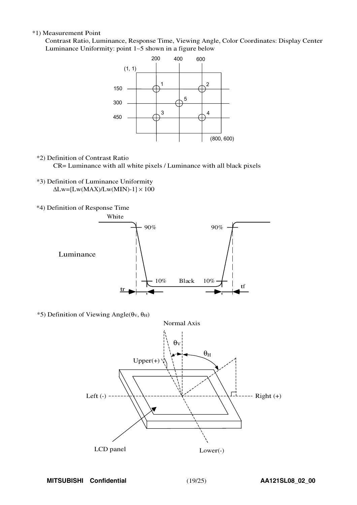#### \*1) Measurement Point

Contrast Ratio, Luminance, Response Time, Viewing Angle, Color Coordinates: Display Center Luminanc<sup>e</sup> Uniformity: point <sup>1</sup>∼<sup>5</sup> shown in a figure belo<sup>w</sup>



\*2) Definition of Contrast Ratio

CR= Luminance with all white pixels / Luminance with all black pixels

- \*3) Definition of Luminance Uniformity  $\Delta$ Lw=[Lw(MAX)/Lw(MIN)-1]  $\times$  100
- \*4) Definition of Response Time



 $*$ 5) Definition of Viewing Angle(θν, θ<sub>H</sub>)

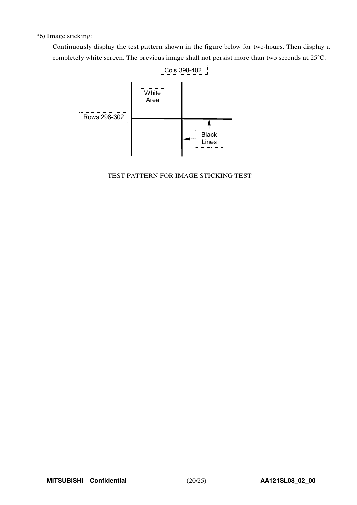\*6) Image sticking:

Continuously display the test pattern shown in the figure below for two-hours. Then display a completely white screen. The previous image shall not persist more than two seconds at 25°C.



# TEST PATTERN FOR IMAGE STICKING TEST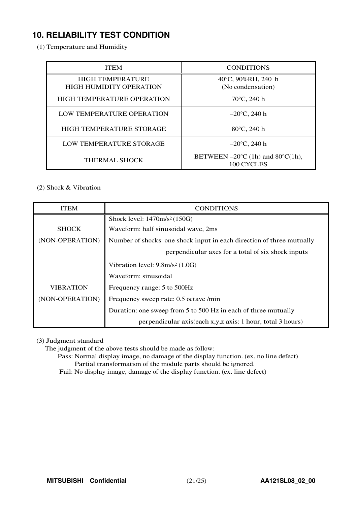# **10. RELIABILITY TEST CONDITION**

(1) Temperature and Humidity

| <b>ITEM</b>                                               | <b>CONDITIONS</b>                                                   |
|-----------------------------------------------------------|---------------------------------------------------------------------|
| <b>HIGH TEMPERATURE</b><br><b>HIGH HUMIDITY OPERATION</b> | 40°C, 90%RH, 240 h<br>(No condensation)                             |
| <b>HIGH TEMPERATURE OPERATION</b>                         | $70^{\circ}$ C, 240 h                                               |
| LOW TEMPERATURE OPERATION                                 | $-20^{\circ}$ C, 240 h                                              |
| HIGH TEMPERATURE STORAGE                                  | $80^{\circ}$ C, 240 h                                               |
| LOW TEMPERATURE STORAGE                                   | $-20^{\circ}$ C, 240 h                                              |
| <b>THERMAL SHOCK</b>                                      | BETWEEN $-20^{\circ}$ C (1h) and 80 $^{\circ}$ C(1h),<br>100 CYCLES |

# (2) Shock & Vibration

| <b>ITEM</b>      | <b>CONDITIONS</b>                                                     |  |  |  |  |  |  |  |
|------------------|-----------------------------------------------------------------------|--|--|--|--|--|--|--|
|                  | Shock level: 1470m/s <sup>2</sup> (150G)                              |  |  |  |  |  |  |  |
| <b>SHOCK</b>     | Waveform: half sinusoidal wave, 2ms                                   |  |  |  |  |  |  |  |
| (NON-OPERATION)  | Number of shocks: one shock input in each direction of three mutually |  |  |  |  |  |  |  |
|                  | perpendicular axes for a total of six shock inputs                    |  |  |  |  |  |  |  |
|                  | Vibration level: $9.8m/s^2$ (1.0G)                                    |  |  |  |  |  |  |  |
|                  | Waveform: sinusoidal                                                  |  |  |  |  |  |  |  |
| <b>VIBRATION</b> | Frequency range: 5 to 500Hz                                           |  |  |  |  |  |  |  |
| (NON-OPERATION)  | Frequency sweep rate: 0.5 octave /min                                 |  |  |  |  |  |  |  |
|                  | Duration: one sweep from 5 to 500 Hz in each of three mutually        |  |  |  |  |  |  |  |
|                  | perpendicular axis(each x,y,z axis: 1 hour, total 3 hours)            |  |  |  |  |  |  |  |

(3) Judgment standard

The judgment of the above tests should be made as follow:

Pass: Normal display image, no damage of the display function. (ex. no line defect) Partial transformation of the module parts should be ignored.

Fail: No display image, damage of the display function. (ex. line defect)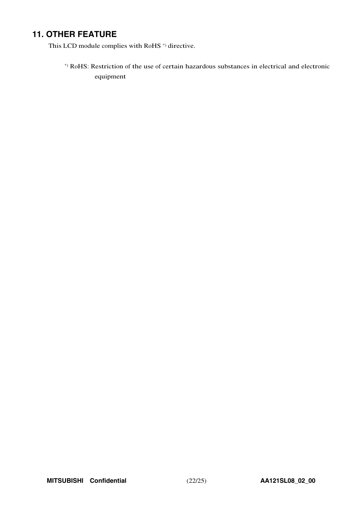# **11. OTHER FEATURE**

This LCD module complies with RoHS<sup>\*</sup>) directive.

\*) RoHS: Restriction of the use of certain hazardous substances in electrical and electronic equipment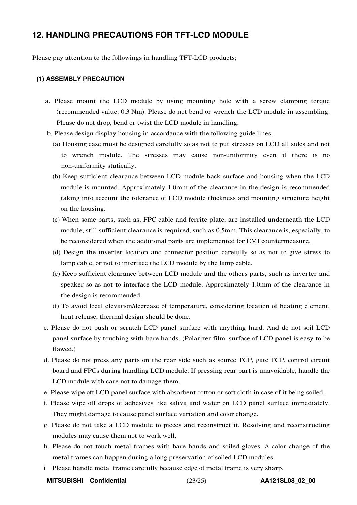# **12. HANDLING PRECAUTIONS FOR TFT-LCD MODULE**

Please pay attention to the followings in handling TFT-LCD products;

#### **(1) ASSEMBLY PRECAUTION**

- a. Please mount the LCD module by using mounting hole with a screw clamping torque (recommended value: 0.3 Nm). Please do not bend or wrench the LCD module in assembling. Please do not drop, bend or twist the LCD module in handling.
- b. Please design display housing in accordance with the following guide lines.
	- (a) Housing case must be designed carefully so as not to put stresses on LCD all sides and not to wrench module. The stresses may cause non-uniformity even if there is no non-uniformity statically.
	- (b) Keep sufficient clearance between LCD module back surface and housing when the LCD module is mounted. Approximately 1.0mm of the clearance in the design is recommended taking into account the tolerance of LCD module thickness and mounting structure height on the housing.
	- (c) When some parts, such as, FPC cable and ferrite plate, are installed underneath the LCD module, still sufficient clearance is required, such as 0.5mm. This clearance is, especially, to be reconsidered when the additional parts are implemented for EMI countermeasure.
	- (d) Design the inverter location and connector position carefully so as not to give stress to lamp cable, or not to interface the LCD module by the lamp cable.
	- (e) Keep sufficient clearance between LCD module and the others parts, such as inverter and speaker so as not to interface the LCD module. Approximately 1.0mm of the clearance in the design is recommended.
	- (f) To avoid local elevation/decrease of temperature, considering location of heating element, heat release, thermal design should be done.
- c. Please do not push or scratch LCD panel surface with anything hard. And do not soil LCD panel surface by touching with bare hands. (Polarizer film, surface of LCD panel is easy to be flawed.)
- d. Please do not press any parts on the rear side such as source TCP, gate TCP, control circuit board and FPCs during handling LCD module. If pressing rear part is unavoidable, handle the LCD module with care not to damage them.
- e. Please wipe off LCD panel surface with absorbent cotton or soft cloth in case of it being soiled.
- f. Please wipe off drops of adhesives like saliva and water on LCD panel surface immediately. They might damage to cause panel surface variation and color change.
- g. Please do not take a LCD module to pieces and reconstruct it. Resolving and reconstructing modules may cause them not to work well.
- h. Please do not touch metal frames with bare hands and soiled gloves. A color change of the metal frames can happen during a long preservation of soiled LCD modules.
- i Please handle metal frame carefully because edge of metal frame is very sharp.
- **MITSUBISHI Confidential** (23/25) **AA121SL08\_02\_00**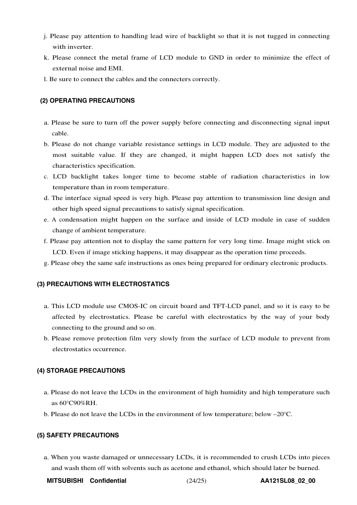- j. Please pay attention to handling lead wire of backlight so that it is not tugged in connecting with inverter.
- k. Please connect the metal frame of LCD module to GND in order to minimize the effect of external noise and EMI.
- l. Be sure to connect the cables and the connecters correctly.

#### **(2) OPERATING PRECAUTIONS**

- a. Please be sure to turn off the power supply before connecting and disconnecting signal input cable.
- b. Please do not change variable resistance settings in LCD module. They are adjusted to the most suitable value. If they are changed, it might happen LCD does not satisfy the characteristics specification.
- c. LCD backlight takes longer time to become stable of radiation characteristics in low temperature than in room temperature.
- d. The interface signal speed is very high. Please pay attention to transmission line design and other high speed signal precautions to satisfy signal specification.
- e. A condensation might happen on the surface and inside of LCD module in case of sudden change of ambient temperature.
- f. Please pay attention not to display the same pattern for very long time. Image might stick on LCD. Even if image sticking happens, it may disappear as the operation time proceeds.
- g. Please obey the same safe instructions as ones being prepared for ordinary electronic products.

#### **(3) PRECAUTIONS WITH ELECTROSTATICS**

- a. This LCD module use CMOS-IC on circuit board and TFT-LCD panel, and so it is easy to be affected by electrostatics. Please be careful with electrostatics by the way of your body connecting to the ground and so on.
- b. Please remove protection film very slowly from the surface of LCD module to prevent from electrostatics occurrence.

#### **(4) STORAGE PRECAUTIONS**

- a. Please do not leave the LCDs in the environment of high humidity and high temperature such as 60°C90%RH.
- b. Please do not leave the LCDs in the environment of low temperature; below –20°C.

#### **(5) SAFETY PRECAUTIONS**

a. When you waste damaged or unnecessary LCDs, it is recommended to crush LCDs into pieces and wash them off with solvents such as acetone and ethanol, which should later be burned.

**MITSUBISHI Confidential** (24/25) **AA121SL08\_02\_00**